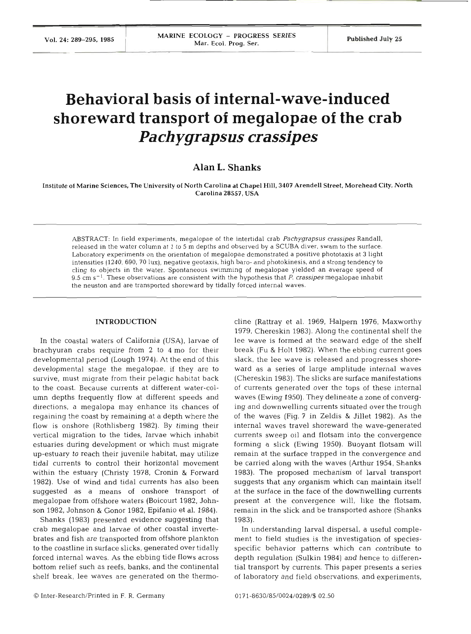Vol. 24: 289–295, 1985 **https://wikipedia/ARINE ECOLOGY - PROGRESS SERIES** Published July 25 **https://wikipedia/Ari. Ecol. Prog. Ser.** 1 Published July 25

# **Behavioral basis of internal-wave-induced shoreward transport of megalopae of the crab Pa ch ygrapsus crassipes**

# **Alan L. Shanks**

Institute **of** Marine Sciences. The University of North Carolina at Chapel Hill, **3407** Arendell Street, Morehead City, North Carolina **28557,** USA

ABSTRACT: In field experiments, megalopae of the intertidal crab Pachygrapsus crassipes Randall, released in the water column at 1 to *5* m depths and observed by a SCUBA diver, swam to the surface. Laboratory experiments on the orientation of megalopae demonstrated a positive phototaxis at 3 light intensities (1240, 690, 70 lux), negative geotaxis, high baro- and photokinesis, and a strong tendency to cling to objects in the water. Spontaneous swimming of megalopae yielded an average speed of 9.5 cm  $s^{-1}$ . These observations are consistent with the hypothesis that P. crassipes megalopae inhabit the neuston and are transported shoreward by tidally forced internal waves.

# **INTRODUCTION**

In the coastal waters of California (USA), larvae of brachyuran crabs require from 2 to 4 mo for their developmental period (Lough 1974). At the end of this developmental stage the megalopae, if they are to survive, must migrate from their pelagic habitat back to the coast. Because currents at different water-column depths frequently flow at different speeds and directions, a megalopa may enhance its chances of regaining the coast by remaining at a depth where the flow is onshore (Rothlisberg 1982). By timing their vertical migration to the tides, larvae which inhabit estuaries during development or which must migrate up-estuary to reach their juvenile habitat, may utilize tidal currents to control their horizontal movemen within the estuary (Christy 1978, Cronin & Forward 1982). Use of wind and tidal currents has also been suggested as a means of onshore transport of megalopae from offshore waters (Boicourt 1982, Johnson 1982, Johnson & Gonor 1982, Epifanio et al. 1984).

Shanks (1983) presented evidence suggesting that crab megalopae and larvae of other coastal invertebrates and fish are transported from offshore plankton to the coastline in surface slicks, generated over tidally forced internal waves. As the ebbing tide flows across bottom relief such as reefs, banks, and the continental shelf break, lee waves are generated on the thermocline (Rattray et al. 1969, Halpern 1976, Maxworthy 1979, Chereskin 1983). Along the continental shelf the lee wave is formed at the seaward edge of the shelf break (Fu & Holt 1982). When the ebbing current goes slack, the lee wave is released and progresses shoreward as a series of large amplitude internal waves (Chereskin 1983). The slicks are surface manifestations of currents generated over the tops of these internal waves (Ewing 1950). They delineate a zone of converging and downwelling currents situated over the trough of the waves (Fig. 7 in Zeldis & Jillet 1982). As the internal waves travel shoreward the wave-generated currents sweep oil and flotsam into the convergence forming a slick (Ewing 1950). Buoyant flotsam will remain at the surface trapped in the convergence and be carried along with the waves (Arthur 1954, Shanks 1983). The proposed mechanism of larval transport suggests that any organism which can maintain itself at the surface in the face of the downwelling currents present at the convergence will, like the flotsam, remain in the slick and be transported ashore (Shanks 1983).

In understanding larval dispersal, a useful complement to field studies is the investigation of speciesspecific behavior patterns which can contribute to depth regulation (Sulkin 1984) and hence to differential transport by currents. This paper presents a series of laboratory and field observations, and experiments,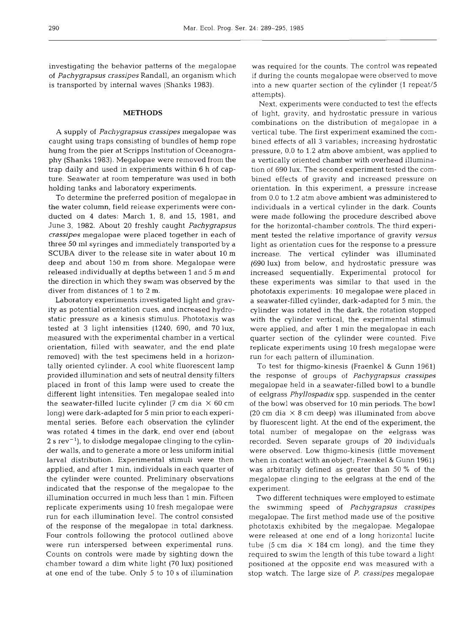investigating the behavior patterns of the megalopae of *Pachygrapsus crassipes* Randall, an organism which is transported by internal waves (Shanks 1983).

#### **METHODS**

**<sup>A</sup>**supply of *Pachygrapsus crassipes* megalopae was caught using traps consisting of bundles of hemp rope hung from the pier at Scripps Institution of Oceanography (Shanks 1983). Megalopae were removed from the trap daily and used in experiments within 6 h of capture. Seawater at room temperature was used in both holding tanks and laboratory experiments.

To determine the preferred position of megalopae in the water column, field release experiments were conducted on **4** dates: March 1, 8, and 15, 1981, and June 3, 1982. About 20 freshly caught *Pachygrapsus crassipes* megalopae were placed together in each of three 50 m1 syringes and immediately transported by a SCUBA diver to the release site in water about 10 m deep and about 150 m from shore. Megalopae were released individually at depths between 1 and 5 m and the direction in which they swam was observed by the diver from distances of 1 to **2** m.

Laboratory experiments investigated light and gravity as potential orientation cues, and increased hydrostatic pressure as a kinesis stimulus. Phototaxis was tested at 3 light intensities (1240, 690, and 70 lux, measured with the experimental chamber in a vertical orientation, filled with seawater, and the end plate removed) with the test specimens held in a horizontally oriented cylinder. A cool white fluorescent lamp provided illumination and sets of neutral density filters placed in front of this lamp were used to create the different light intensities. Ten megalopae sealed into the seawater-filled lucite cylinder (7 cm dia  $\times$  60 cm long) were dark-adapted for 5 min prior to each experimental series. Before each observation the cylinder was rotated **4** times in the dark, end over end (about  $2 s$  rev<sup>-1</sup>), to dislodge megalopae clinging to the cylinder walls, and to generate a more or less uniform initial larval distribution. Experimental stimuli were then applied, and after 1 min, individuals in each quarter of the cylinder were counted. Preliminary observations indicated that the response of the megalopae to the illumination occurred in much less than 1 min. Fifteen replicate experiments using 10 fresh megalopae were run for each illumination level. The control consisted of the response of the megalopae in total darkness. Four controls following the protocol outlined above were run interspersed between experimental runs. Counts on controls were made by sighting down the chamber toward a dim white light (70 lux) positioned at one end of the tube. Only 5 to 10 s of illumination

was required for the counts. The control was repeated if during the counts megalopae were observed to move into a new quarter section of the cylinder (1 repeat/5 attempts).

Next, experiments were conducted to test the effects of light, gravity, and hydrostatic pressure in various combinations on the distribution of megalopae in a vertical tube. The first experiment examined the combined effects of all **3** variables; increasing hydrostatic pressure, 0.0 to 1.2 atm above ambient, was applied to a vertically oriented chamber with overhead illumination of 690 lux. The second experiment tested the combined effects of gravity and increased pressure on orientation. In this experiment, a pressure increase from 0.0 to 1.2 atm above ambient was administered to individuals in a vertical cylinder in the dark. Counts were made following the procedure described above for the horizontal-chamber controls. The third experiment tested the relative importance of gravity *versus*  light as orientation cues for the response to a pressure increase. The vertical cylinder was illuminated (690 lux) from below, and hydrostatic pressure was increased sequentially. Experimental protocol for these experiments was similar to that used in the phototaxis experiments: 10 megalopae were placed in a seawater-filled cylinder, dark-adapted for 5 min, the cylinder was rotated in the dark, the rotation stopped with the cylinder vertical, the experimental stimuli were applied, and after 1 min the megalopae in each quarter section of the cylinder were counted. Five replicate experiments using 10 fresh megalopae were run for each pattern of illumination.

To test for thigmo-kinesis (Fraenkel & Gunn 1961) the response of groups of *Pachygrapsus crassipes*  megalopae held in a seawater-filled bowl to a bundle of eelgrass *Phyllospadix* spp. suspended in the center of the bowl was observed for 10 min periods. The bowl (20 cm dia  $\times$  8 cm deep) was illuminated from above by fluorescent light. At the end of the experiment, the total number of megalopae on the eelgrass was recorded. Seven separate groups of 20 individuals were observed. Low thigmo-kinesis (little movement when in contact with an object; Fraenkel & Gunn 1961) was arbitrarily defined as greater than 50 % of the megalopae clinging to the eelgrass at the end of the experiment.

Two different techniques were employed to estimate the swimming speed of *Pachygrapsus crassipes*  megalopae. The first method made use of the positive phototaxis exhibited by the megalopae. Megalopae were released at one end of a long horizontal lucite tube (5 cm dia  $\times$  184 cm long), and the time they required to swim the length of this tube toward a light positioned at the opposite end was measured with a stop watch. The large size of *P. crassipes* megalopae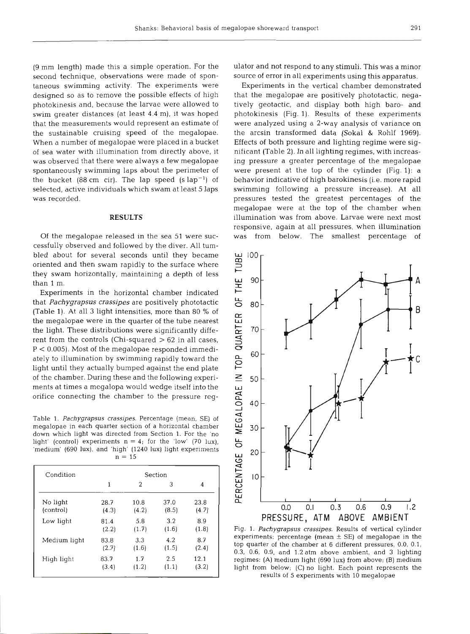(9 mm length) made this a simple operation. For the second technique, observations were made of spontaneous swimming activity. The experiments were designed so as to remove the possible effects of high photokinesis and, because the larvae were allowed to swim greater distances (at least 4.4 m), it was hoped that the measurements would represent an estimate of the sustainable cruising speed of the megalopae. When a number of megalopae were placed in a bucket of sea water with illumination from directly above, it was observed that there were always a few megalopae spontaneously swimming laps about the perimeter of the bucket (88 cm cir). The lap speed (s  $\text{lap}^{-1}$ ) of selected, active individuals which swam at least 5 laps was record

### **RESULTS**

Of the megalopae released in the sea 51 were successfully observed and followed by the diver. All tumbled about for several seconds until they became oriented and then swam rapidly to the surface where they swam horizontally, maintaining a depth of less than 1

Experiments in the horizontal chamber indicated that *Pachygrapsus crassipes* are positively phototactic (Table 1). At all **3** light intensities, more than 80 % of the megalopae were in the quarter of the tube nearest the light. These distributions were significantly different from the controls (Chi-squared  $>62$  in all cases, P < 0.005). Most of the megalopae responded immediately to illumination by swimming rapidly toward the light until they actually bumped against the end plate of the chamber. During these and the following experiments at times a megalopa would wedge itself into the orifice connecting the chamber to the pressure reg-

Table 1. *Pachygrapsus crassipes.* Percentage (mean, *SE)* of megalopae in each quarter section of a horizontal chamber down which light was directed from Section 1. For the 'no light' (control) experiments  $n = 4$ ; for the 'low' (70 lux), 'medium' (690 lux), and 'high' (1240 lux) light experiments  $n=$ 

| Condition    | Section |       |       |       |  |  |
|--------------|---------|-------|-------|-------|--|--|
|              | 1       | 2     | 3     | 4     |  |  |
| No light     | 28.7    | 10.8  | 37.0  | 23.8  |  |  |
| (control)    | (4.3)   | (4.2) | (8.5) | (4.7) |  |  |
| Low light    | 81.4    | 5.8   | 3.2   | 8.9   |  |  |
|              | (2.2)   | (1.7) | (1.6) | (1.8) |  |  |
| Medium light | 83.8    | 3.3   | 4.2   | 8.7   |  |  |
|              | (2.7)   | (1.6) | (1.5) | (2.4) |  |  |
| High light   | 83.7    | 1.7   | 2.5   | 12.1  |  |  |
|              | (3.4)   | (1.2) | (1.1) | (3.2) |  |  |

ulator and not respond to any stimuli. This was a minor source of error in all experiments using this apparatus.

Experiments in the vertical chamber demonstrated that the megalopae are positively phototactic, negatively geotactic, and display both high baro- and photokinesis (Fig. l). Results of these experiments were analyzed using a 2-way analysis of variance on the arcsin transformed data (Sokal & Rohlf 1969). Effects of both pressure and lighting regime were significant (Table **2).** In all lighting regimes, with increasing pressure a greater percentage of the megalopae were present at the top of the cylinder (Fig. 1): a behavior indicative of high barokinesis (i.e. more rapid swimming following a pressure increase). At all pressures tested the greatest percentages of the megalopae were at the top of the chamber when illumination was from above. Larvae were next n responsive, again at all pressures, when illumination was from below. The smallest percentage of

OF THE TUBE 100 90 80 R PERCENTAGE OF MEGALOPAE IN TOP QUARTER 70 60 50 40 30 20  $\overline{0}$  $0.0$  $0.1$  $0.3$  $0.6$  $0.9$  $1.2$ **PRESSURE, ATM ABOVE AMBIENT** 

Fig. 1. *Pachygrapsus crassipes.* Results of vertical cylinder experiments: percentage (mean  $\pm$  SE) of megalopae in the top quarter of the chamber at 6 different pressures, 0.0. 0.1, 0.3, 0.6, 0.9, and 1.2 atm above ambient, and 3 lighting regimes: (A) medium light (690 lux) from above; (B) medium light from below; (C) no light. Each point represents the results of *5* experiments with 10 megalopae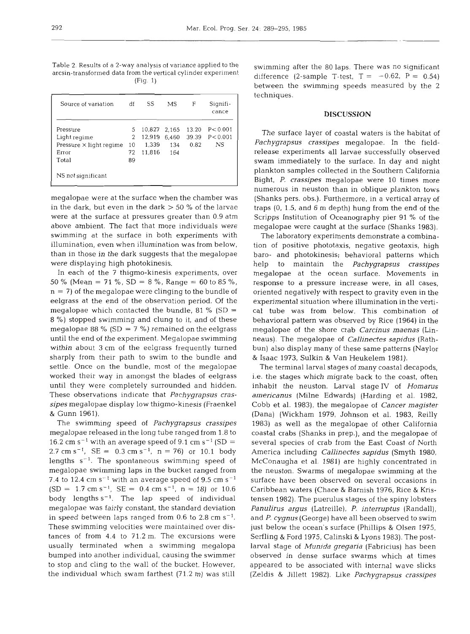Table *2.* Results of a 2-way analysis of variance applied to the arcsin-transformed data from the vertical cylinder experiment (Fig. 1)

| Source of variation            | df | SS     | MS    | F     | Signifi-<br>cance |
|--------------------------------|----|--------|-------|-------|-------------------|
| Pressure                       | 5  | 10.827 | 2.165 | 13.20 | P < 0.001         |
| Light regime                   | 2  | 12.919 | 6,460 | 39.39 | P < 0.001         |
| Pressure $\times$ light regime | 10 | 1.339  | 134   | 0.82  | NS                |
| Error                          | 72 | 11.816 | 164   |       |                   |
| Total                          | 89 |        |       |       |                   |
| NS not significant             |    |        |       |       |                   |

megalopae were at the surface when the chamber was in the dark, but even in the dark  $> 50$  % of the larvae were at the surface at pressures greater than 0.9 atm above ambient. The fact that more individuals were swimming at the surface in both experiments with illumination, even when illumination was from below, than in those in the dark suggests that the megalopae were displaying high photokinesis.

In each of the 7 thigmo-kinesis experiments, over 50 % (Mean = 71 %, SD = 8 %, Range = 60 to 85 %,  $n = 7$ ) of the megalopae were clinging to the bundle of eelgrass at the end of the observation period. Of the megalopae which contacted the bundle, 81 % (SD = 8 %) stopped swimming and clung to it, and of these megalopae 88 % (SD = 7 %) remained on the eelgrass until the end of the experiment. Megalopae swimming within about **3** cm of the eelgrass frequently turned sharply from their path to swim to the bundle and settle. Once on the bundle, most of the megalopae worked their way in amongst the blades of eelgrass until they were completely surrounded and hidden. These observations indicate that *Pachygrapsus crassipes* megalopae display low thigmo-kinesis (Fraenkel & Gunn 1961).

The swimming speed of *Pachygrapsus crassipes*  megalopae released in the long tube ranged from 1.8 to 16.2 cm s<sup>-1</sup> with an average speed of 9.1 cm s<sup>-1</sup> (SD = 2.7 cm s<sup>-1</sup>, SE =  $0.3$  cm s<sup>-1</sup>, n = 76) or 10.1 body lengths  $s^{-1}$ . The spontaneous swimming speed of megalopae swimming laps in the bucket ranged from 7.4 to 12.4 cm  $s^{-1}$  with an average speed of 9.5 cm  $s^{-1}$  $(SD = 1.7 \text{ cm s}^{-1}, \text{ SE} = 0.4 \text{ cm s}^{-1}, \text{ n} = 18) \text{ or } 10.6$ body lengths  $s^{-1}$ . The lap speed of individual megalopae was fairly constant, the standard deviation in speed between laps ranged from  $0.6$  to  $2.8 \text{ cm s}^{-1}$ . These swimming velocities were maintained over distances of from 4.4 to 71.2 m. The excursions were usually terminated when a swimming megalopa bumped into another individual, causing the swimmer to stop and cling to the wall of the bucket. However, the individual which swam farthest (71.2 m) was still

swimming after the 80 laps. There was no significant difference (2-sample T-test,  $T = -0.62$ ,  $P = 0.54$ ) between the swimming speeds measured by the 2 techniques.

# **DISCUSSION**

The surface layer of coastal waters is the habitat of *Pachygrapsus crassipes* megalopae. In the fieldrelease experiments all larvae successfully observed swam immediately to the surface. In day and night plankton samples collected in the Southern California Bight, P, *crassipes* megalopae were 10 times more numerous in neuston than in oblique plankton tows (Shanks pers. obs.). Furthermore, in a vertical array of traps (0, 1.5, and 6 m depth) hung from the end of the Scripps Institution of Oceanography pier 91 % of the megalopae were caught at the surface (Shanks 1983).

The laboratory experiments demonstrate a combination of positive phototaxis, negative geotaxis, high baro- and photokinesis; behavioral patterns which help to maintain the *Pachygrapsus crassipes*  megalopae at the ocean surface. Movements in response to a pressure increase were, in all cases. oriented negatively with respect to gravity even in the experimental situation where illumination in the vertical tube was from below. This combination of behavioral pattern was observed by Rice (1964) in the megalopae of the shore crab *Carcinus maenas* (Linneaus). The megalopae of *Callinectes sapidus* (Rathbun) also display many of these same patterns (Naylor & Isaac 1973, Sulkin & Van Heukelem 1981).

The terminal larval stages of many coastal decapods, i.e. the stages which migrate back to the coast, often inhabit the neuston. Larval stage IV of *Hornarus americanus* (Milne Edwards) (Harding et al. 1982, Cobb et al. 1983), the megalopae of *Cancer magister*  (Dana) (Wickham 1979, Johnson et al. 1983, Reilly 1983) as well as the megalopae of other California coastal crabs (Shanks in prep.), and the megalopae of several species of crab from the East Coast of North America including *Callinectes sapidus* (Smyth 1980, McConaugha et al. 1981) are highly concentrated in the neuston. Swarms of megalopae swimming at the surface have been observed on several occasions in Caribbean waters (Chace & Barnish 1976, Rice & Kristensen 1982). The puerulus stages of the spiny lobsters *Panulirus argus* (Latreille), *P. intenuptus* (Randall), and *P. cygnus* (George) have all been observed to swim just below the ocean's surface (Phillips & Olsen 1975, Serfling & Ford 1975, Calinski & Lyons 1983). The postlarval stage of *Munida gregaria* (Fabricius) has been observed in dense surface swarms which at times appeared to be associated with internal wave slicks (Zeldis & Jillett 1982). Like *Pachygrapsus crassipes*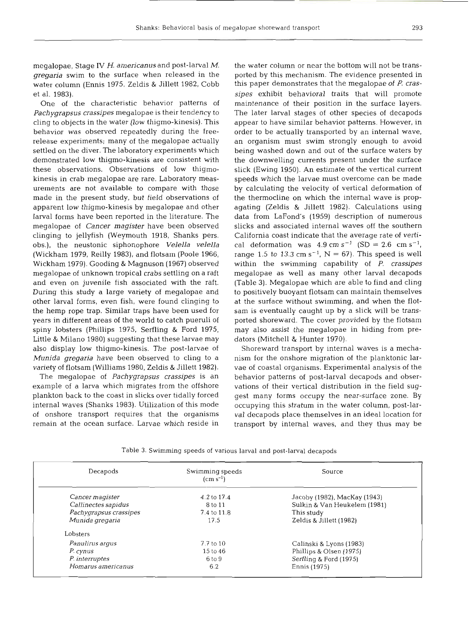megalopae, Stage IV H. *americanus* and post-larval *M. gregaria* swim to the surface when released in the water column (Ennis 1975, Zeldis & Jillett 1982, Cobb et al. 1983).

One of the characteristic behavior patterns of *Pachygrapsus crassipes* megalopae is their tendency to cling to objects in the water (low thigmo-kinesis). This behavior was observed repeatedly during the freerelease experiments; many of the megalopae actually settled on the diver. The laboratory experiments which demonstrated low thigmo-kinesis are consistent with these observations. Observations of low thigmokinesis in crab megalopae are rare. Laboratory measurements are not available to compare with those made in the present study, but field observations of apparent low thigmo-kinesis by megalopae and other larval forms have been reported in the literature. The megalopae of *Cancer magister* have been observed clinging to jellyfish (Weymouth 1918. Shanks pers. obs.), the neustonic siphonophore *Velella velella*  (Wickham 1979, Reilly 1983), and flotsam (Poole 1966, Wickham 1979). Gooding & Magnuson (1967) observed megalopae of unknown tropical crabs settling on a raft and even on juvenile fish associated with the raft. During this study a large variety of megalopae and other larval forms, even fish, were found clinging to the hemp rope trap. Similar traps have been used for years in different areas of the world to catch pueruli of spiny lobsters (Phillips 1975, Serfling & Ford 1975, Little & Milano 1980) suggesting that these larvae may also display low thigmo-kinesis. The post-larvae of *Munida gregaria* have been observed to cling to a variety of flotsam (Williams 1980, Zeldis & Jillett 1982).

The megalopae of *Pachygrapsus crassipes* is an example of a larva which migrates from the offshore plankton back to the coast in slicks over tidally forced internal waves (Shanks 1983). Utilization of this mode of onshore transport requires that the organisms remain at the ocean surface. Larvae which reside in

the water column or near the bottom will not be transported by this mechanism. The evidence presented in this paper demonstrates that the megalopae of *P. crassipes* exhibit behavioral traits that will promote maintenance of their position in the surface layers. The later larval stages of other species of decapods appear to have similar behavior patterns. However, in order to be actually transported by an internal wave, an organism must swim strongly enough to avoid being washed down and out of the surface waters by the downwelling currents present under the surface slick (Ewing 1950). An estimate of the vertical current speeds which the larvae must overcome can be made by calculating the velocity of vertical deformation of the thermocline on which the internal wave is propagating (Zeldis & Jillett 1982). Calculations using data from LaFond's (1959) description of numerous slicks and associated internal waves off the south California coast indicate that the average rate of vertical deformation was  $4.9 \text{ cm s}^{-1}$  (SD = 2.6 cm s<sup>-1</sup>, range 1.5 to 13.3 cm  $s^{-1}$ , N = 67). This speed is well within the swimming capability of P. *crassipes*  megalopae as well as many other larval decapods (Table 3). Megalopae which are able to find and cling to positively buoyant flotsam can maintain themselves at the surface without swimming, and when the flotsam is eventually caught up by a slick will be transported shoreward. The cover provided by the flotsam may also assist the megalopae in hiding from predators (Mitchell & Hunter 1970).

Shoreward transport by internal waves is a mechanism for the onshore migration of the planktonic larvae of coastal organisms. Experimental analysis of the behavior patterns of post-larval decapods and observations of their vertical distribution in the field suggest many forms occupy the near-surface zone. By occupying this stratum in the water column, post-larval decapods place themselves in an ideal location for transport by internal waves, and they thus may be

|  | Table 3. Swimming speeds of various larval and post-larval decapods |  |  |  |  |
|--|---------------------------------------------------------------------|--|--|--|--|
|  |                                                                     |  |  |  |  |

| Decapods               | Swimming speeds<br>$\rm (cm \; s^{-1})$ | Source                       |  |  |
|------------------------|-----------------------------------------|------------------------------|--|--|
| Cancer magister        | 4.2 to 17.4                             | Jacoby (1982), MacKay (1943) |  |  |
| Callinectes sapidus    | 8 to 11                                 | Sulkin & Van Heukelem (1981) |  |  |
| Pachygrapsus crassipes | 7.4 to 11.8                             | This study                   |  |  |
| Munida gregaria        | 17.5                                    | Zeldis & Jillett (1982)      |  |  |
| Lobsters               |                                         |                              |  |  |
| Panulirus arqus        | $7.7$ to $10$                           | Calinski & Lyons (1983)      |  |  |
| P. cynus               | 15 to 46                                | Phillips & Olsen (1975)      |  |  |
| P. interruptes         | 6 to 9                                  | Serfling & Ford (1975)       |  |  |
| Homarus americanus     | 6.2                                     | Ennis (1975)                 |  |  |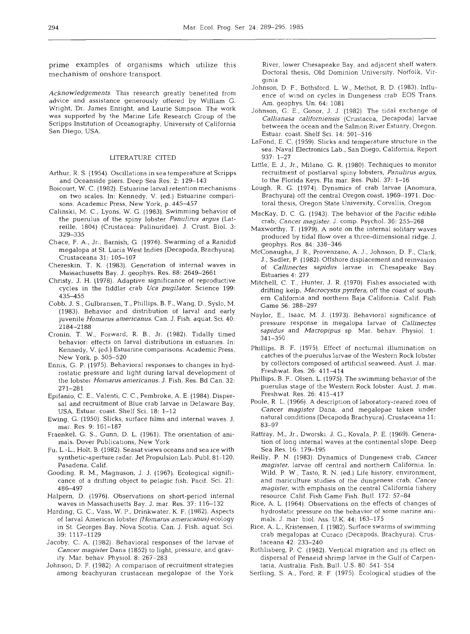prime examples of organisms which utilize this mechanism of onshore transport.

*Acknowledgements.* This research greatly benefited from advice and assistance generously offered by William G. Wright, Dr. James Enright, and Laurie Simpson The work was supported by the Marine Life Research Group of the Scripps Institution of Oceanography, University of California San Diego, USA.

## LITERATURE CITED

- Arthur, R. S. (1954). Oscillations in sea temperature at Scripps and Oceanside piers. Deep Sea Res. 2: 129-143
- Boicourt, W. C. (1982). Estuarine larval retention mechanisms on two scales. In: Kennedy. V. (ed.) Estuarine comparisons. Academic Press, New York. p. 445-457
- Calinski, M. C., Lyons, W. G. (1983). Swimming behavior of the puemlus of the spiny lobster *Panulirus argus* (Latreille. 1804) (Crustacea: Palinuridae). J. Crust. Biol. 3: 329-335
- Chace, F. A., Jr., Barnish, G. (1976). Swarming of a Ranidid megalopa at St. Lucia West Indies (Decapoda, Brachyura). Crustaceana 31: 105-107
- Chereskin, T. K. (1983). Generation of internal waves in Massachusetts Bay. J. geophys. Res. 88: 2649-2661
- Christy. J. H. (1978). Adaptive significance of reproductive cycles in the fiddler crab *Uca pugilator.* Science 199: 435–455
- Cobb, J. S., Gulbransen, T., Phillips. B. F., Wang, D., Syslo. M. (1983). Behavior and distribution of larval and early juvenile *Homarus americanus.* Can. J. Fish. aquat. Sci. 40: 2184-2188
- Cronin, T. W., Forward, R. B., Jr. (1982). Tidally timed behavior: effects on larval distributions in estuaries. In: Kennedy, V. (ed.) Estuarine comparisons. Academic Press, New York, p. 505-520
- Ennis, G. P. (1975). Behavioral responses to changes in hydrostatic pressure and light during larval development of the lobster *Homarus americanus.* J. Fish. Res. Bd Can. 32: 271-281
- Epifanio, C. E., Valenti, C. C., Pembroke, A. E. (1984). Dispersal and recruitment of Blue crab larvae in Delaware Bay, USA. Estuar. coast. Shelf Sci. 18: 1-12
- Ewing, G. (1950). Slicks, surface films and internal waves. J. mar. Res. 9: 161-187
- Fraenkel. G. S.. Gunn, D. L. (1961). The orientation of animals. Dover Publications, New York
- Fu, L.-L., Holt, B. (1982). Seasat views oceans and sea ice with synthetic-aperture radar. Jet Propulsion Lab. Publ. 81-120. Pasadena, Calif.
- Gooding, R. M,, Magnuson, J. J. (1967). Ecological significance of a drifting object to pelagic fish. Pacif. Sci. 21: 486–497
- Halpern, D. (1976). Observations on short-period internal waves in Massachusetts Bay. J. mar. Res. 37: 116-132
- Harding, G. C., Vass, W. P,, Drinkwater, K. F. (1982). Aspects of larval American lobster *(Homarus americanus)* ecology in St. Georges Bay, Nova Scotia. Can. J. Fish. aquat. Sci. 39: 11 17-1 129
- Jacoby. C. A. (1982). Behavioral responses of the larvae of *Cancer magister* Dana (1852) to light, pressure, and gravity. Mar. behav. Physiol. 8: 267-283
- Johnson, D. F. (1982). A comparison of recruitment strategies among brachyuran crustacean megalopae of the York

River, lower Chesapeake Bay, and adjacent shelf waters. Doctoral thesis, Old Dominion University, Norfolk, Virginia

- Johnson, D F., Bothsford, L. W., Methot, R. D. (1983). Influence of wind on cycles in Dungeness crab. EOS Trans. Am, geophys. Un. 64: 1081
- Johnson, G. E., Gonor, J. J. (1982). The tidal exchange of Callianasa californiensis (Crustacea, Decapoda) larvae between the ocean and the Salmon River Estuary, Oregon. Estuar. coast. Shelf Sci. 14: 501-516
- LaFond. E. C. (1959). Slicks and temperature structure in the sea. Naval Electronics Lab., San Diego, California, Report 937: 1-27
- Little, E. J., Jr., Milano, G. R. (1980). Techniques to monitor recruitment of postlarval spiny lobsters, *Panulirus argus,*  to the Florida Keys. Fla mar. Res. Publ. 37: 1-16
- Lough, R. G. (1974). Dynamics of crab larvae (Anomura, Brachyura) off the central Oregon coast. 1969-1971. Doctoral thesis, Oregon State University, Corvallis, Oregon
- MacKay, D. C. G. (1943). The behavior of the Pacific edible crab, *Cancer magister.* J, comp. Psychol. 36: 255-268
- Maxworthy, T. (1979). A note on the internal solitary waves produced by tidal flow over a three-dimensional ridge. J. geophys. Res. 84: 338-346
- McConaugha, J. R., Provenzano, A. J., Johnson, D. F., Clark, J., Sadler, P. (1982). Offshore displacement and reinvasion of *Callinectes sapidus* larvae in Chesapeake Bay. Estuaries 4: 277
- Mitchell, C. T., Hunter, J. R. (1970). Fishes associated with drifting kelp, *Macrocystis pyrifera,* off the coast of southem California and northem Baja California. Calif. Fish Game 56: 288-297
- Naylor, E., Isaac, M. J. (1973). Behavioral significance of pressure response in megalopa larvae of *Callinectes sapidus* and *Macropipus* sp. Mar. behav. Physiol. 1: 34 1-350
- Phillips. B. F. (1975). Effect of nocturnal illumination on catches of the puemlus larvae of the Western Rock lobster by collectors composed of artificial seaweed. Aust. J. mar. Freshwat. Res. 26: 411-414
- Phillips, B. F., Olsen, L. (1975). The swimming behavior of the puerulus stage of the Western Rock lobster. Aust. J. mar. Freshwat. Res. 26: 415-417
- Poole, R. L. (1966). A description of laboratory-reared zoea of *Cancer magister* Dana, and megalopae taken under natural conditions (Decapoda Brachyura). Crustaceana 11: 83-97
- Rattray, M,, Jr., Dworski, J. G., Kovala, P. E. (1969). Generation of long internal waves at the continental slope. Deep Sea Res. 16: 179-195
- Reilly, P. N. (1983). Dynamics of Dungeness crab, *Cancer magister,* larvae off central and northern California. In: Wild, P. W, Tasto, R. N. (ed.) Life history, environment, and mariculture studies of the dungeness crab, *Cancer magister,* with emphasis on the central California fishery resource. Calif. Fish Game Fish. Bull. 172: 57-84
- Rice, A. L. (1964). Observations on the effects of changes of hydrostatic pressure on the behavior of some marine animals. J. mar biol. Ass. U.K. 44: 163-175
- Rice, A. L., Kristensen, I. (1982). Surface swarms of swimming crab megalopas at Curaco (Decapods, Brachyura). Crustaceana 42: 233-240
- Rothlisberg, P. C. (1982). Vertical migration and its effect on dispersal of Penaeid shrimp larvae in the Gulf of Carpentaria, Australia. Fish. Bull. U.S. 80: 541-554
- Serfling, S. A., Ford, R. F. (1975). Ecological studies of the